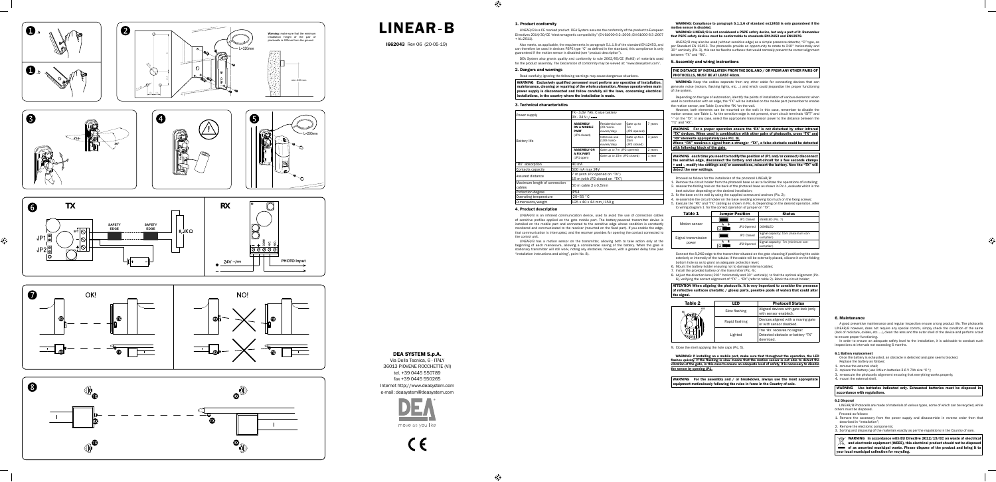## 1. Product conformity

LINEAR/B is a CE marked product. DEA System assures the conformity of the product to European Directives 2014/30/CE "electromagnetic compatibility" (EN 61000-6-2 :2005; EN 61000-6-3 :2007  $+$  A1:2011).

Also meets, as applicable, the requirements in paragraph 5.1.1.6 of the standard EN12453, and can therefore be used in devices PSPE type "C" as defined in the standard, this compliance is only guaranteed if the motion sensor is disabled (see "product description").

WARNING Exclusively qualified personnel must perform any operation of installation, maintenance, cleaning or repairing of the whole automation. Always operate when main power supply is disconnected and follow carefully all the laws, concerning electrical installations, in the country where the installation is made.

DEA System also grants quality and conformity to rule 2002/95/CE (RoHS) of materials used for the product assembly. The Declaration of conformity may be viewed at: "www.deasystem.com".

### 2. Dangers and warnings

Read carefully; ignoring the following warnings may cause dangerous situations.

### 3. Technical characteristics

WARNING: Compliance to paragraph 5.1.1.6 of standard en12453 is only guaranteed if the motion sensor is disal

| Power supply                           | TX - 3.6V 7Ah, C size battery<br>$RX - 24V \sim / ==$           |                                             |                                                 |         |
|----------------------------------------|-----------------------------------------------------------------|---------------------------------------------|-------------------------------------------------|---------|
|                                        | <b>ASSEMBLY</b><br>ON A MOBILE<br><b>PART</b>                   | Residential use<br>(20 mano-<br>euvres/day) | Gate up to<br>7 <sub>m</sub><br>(JP2 opened)    | 7 years |
| <b>Battery life</b>                    | (JP1 closed)                                                    | Intensive use<br>(100 mano-<br>euvres/day)  | Gate up to a<br>15 <sub>m</sub><br>(JP2 closed) | 3 years |
|                                        | <b>ASSEMBLY ON</b>                                              | Gate up to 7m (JP2 opened)                  |                                                 | 2 years |
|                                        | <b>A FIX PART</b><br>(JP1 open)                                 | Gate up to 15m (JP2 closed)                 |                                                 | 1 year  |
| "RX" absorption                        | 40 mA                                                           |                                             |                                                 |         |
| Contacts capacity                      | 500 mA max 24V                                                  |                                             |                                                 |         |
| Assured distance                       | 7 m (with JP2 opened on "TX")<br>15 m (with JP2 closed on "TX") |                                             |                                                 |         |
| Maximum length of connection<br>cables | 50 m cable 2 x 0,5mm                                            |                                             |                                                 |         |
| Protection degree                      | <b>IP54</b>                                                     |                                             |                                                 |         |
| Operating temperature                  | -20÷55 °C                                                       |                                             |                                                 |         |
| Dimensions/weight                      | 125 x 40 x 44 mm / 150 g                                        |                                             |                                                 |         |

WARNING: LINEAR/B is not considered a PSPE safety device, but only a part of it. Remembe that PSPE safety devices must be conformable to standards EN12453 and EN12978.

LINEAR/B may also be used (without sensitive edge) as a simple presence detector, "D" type, as per Standard EN 12453. The photocells provide an opportunity to rotate to 210° horizontally and 30° vertically (Pic. 3), this can be fixed to surfaces that would normally prevent the correct alignment between "TX" and "RX"

WARNING: Keep the cables separate from any other cable for connecting devices that can generate noise (motors, flashing lights, etc. ..) and which could jeopardize the proper functioning of the system.

#### 4. Product description

LINEAR/B is an infrared communication device, used to avoid the use of connection cables of sensitive profiles applied on the gate mobile part. The battery-powered transmitter device is installed on the mobile part and connected to the sensitive edge whose condition is constantly monitored and communicated to the receiver (mounted on the fi xed part). If you enable the edge, that communication is interrupted, and the receiver provides for opening the contact connected to the control unit.

WARNING For a proper operation ensure the 'RX' is not disturbed by other infrared "TX" devices. When used in combination with other pairs of photocells, cross "TX" and "RX"elements appropriately (see Pic. 8).

LINEAR/B has a motion sensor on the transmitter, allowing both to take action only at the beginning of each manoeuvre, allowing a considerable saving of the battery. When the gate is stationary transmitter will still work, noting any obstacles, however, with a greater delay time (see "installation instructions and wiring", point No. 8).

Connect the  $8,2K\Omega$  edge to the transmitter situated on the gate choosing if positioning the cable exteriorly or internally of the tubular. If the cable will be externally placed, silicone it on the folding bottom hole so as to grant an adequate protection level;

### 5. Assembly and wiring instructions

#### THE DISTANCE OF INSTALLATION FROM THE SOIL AND / OR FROM ANY OTHER PAIRS OF PHOTOCELLS, MUST BE AT LEAST 40cm.

WARNING: If installing on a mobile part, make sure that throughout the operation, the LED flashes quickly. If the flashing is slow means that the motion sensor is not able to detect the<br>vibration of the gate, in this case to ensure an adequate level of safety, it is necessary to disable the sensor by opening JP1.

WARNING For the assembly and / or breakdown, always use the most appropriate equipment meticulously following the rules in force in the Country of sale.

Depending on the type of automation, identify the points of installation of various elements: when used in combination with an edge, the "TX" will be installed on the mobile part (remember to enable the motion sensor, see Table 1) and the 'RX "on the wall.

However, both elements can be mounted on the wall: in this case, remember to disable the motion sensor, see Table 1. As the sensitive edge is not present, short circuit terminals "SFT" and "-" on the "TX". In any case, select the appropriate transmission power to the distance between the "TX" and "RX".

- . remove the external shell;
- 2. replace the battery (use lithium batteries 3.6 V 7Ah size "C ");
- 3. re-execute the photocells alignment ensuring that everything works properly;
- 4. mount the external shell.

Where "RX" receives a signal from a stranger "TX", a false obstacle could be detected with following block of the gate.

#### WARNING each time you need to modify the position of JP1 and/or connect/discon the sensitive edge, disconnect the battery and short-circuit for a few seconds clamps + and -, modify the settings and/or connections, reinsert the battery. Now the "TX" will  $\overline{\text{etect}}$  the new settings.

Proceed as follows for the installation of the photocell LINEAR/B:

- 1. Remove the circuit holder from the photocell base so as to facilitate the operations of installing; 2. release the folding hole on the back of the photocell base as shown in Pic.1, evaluate which is the
- best solution depending on the desired installation;
- 3. fix the base on the wall by using the supplied screws and anchors (Pic. 2);
- 4. re-assemble the circuit holder on the base avoiding screwing too much on the fixing screws; 5. Execute the "RX" and "TX" cabling as shown in Pic. 6. Depending on the desired operation, refer to wiring diagram 1 for the correct operation of jumper on "TX".

| Table 1 | <b>Jumper Position</b> | <b>Status</b> |
|---------|------------------------|---------------|

| 1491 L              | JUIIIVUI I VJILIVII |            | ------                                          |
|---------------------|---------------------|------------|-------------------------------------------------|
|                     |                     | JP1 Closed | ENABLED (Pic. 7)                                |
| Motion sensor       | в<br>$\Box$         | JP1 Opened | <b>DISABLED</b>                                 |
| Signal transmission |                     | JP2 Closed | Signal capacity: 15m (maximum con-<br>sumption) |
| power               | B                   | JP2 Opened | Signal capacity: 7m (minimum con-<br>sumption)  |

- 6. Mount the battery holder ensuring not to damage internal cables;
- 7. Install the provided battery on the transmitter (Pic. 4);
- 8. Adjust the direction lens (210° horizontally and 30° vertically) to find the optimal alignment (Pic. 6), verifying the correct alignment of "TX" – "RX" (refer to table 2). Block the circuit holder;

ATTENTION When aligning the photocells, it is very important to consider the presence of reflective surfaces (metallic / glossy parts, possible pools of water) that could alter the signal.

| Table 2          | FD             | <b>Photocell Status</b>                                                        |
|------------------|----------------|--------------------------------------------------------------------------------|
| LED<br><b>RX</b> | Slow flashing  | Aligned devices with gate lock (only<br>with sensor enabled).                  |
| 0005             | Rapid flashing | Devices aligned with a moving gate<br>or with sensor disabled.                 |
|                  | Lighted        | The 'RX' receives no signal:<br>Detected obstacle or battery "TX"<br>download. |

9. Close the shell applying the hole caps (Pic. 5).

#### 6. Maintenance

A good preventive maintenance and regular inspection ensure a long product life. The photocells LINEAR/B however, does not require any special control, simply check the condition of the same (lack of moisture, oxides, etc. ...), clean the lens and the outer shell of the device and perform a test to ensure proper functioning.

In order to ensure an adequate safety level to the installation, it is advisable to conduct such inspections at intervals not exceeding 6 months.

#### 6.1 Battery replacement

Once the battery is exhausted, an obstacle is detected and gate seems blocked. Replace the battery as follows:

I662043 Rev 06 (20-05-19)

DEA SYSTEM S.p.A.

Via Della Tecnica, 6 - ITALY 36013 PIOVENE ROCCHETTE (VI) tel. +39 0445 550789 fax +39 0445 550265 Internet http://www.deasystem.com e-mail: deasystem@deasystem.com



 $\epsilon$ 



LINEAR-B

### WARNING Use batteries indicated only. Exhausted batteries must be disposed in accordance with regulations.

## 6.2 Disposal

LINEAR/B Photocells are made of materials of various types, some of which can be recycled, while others must be disposed.

- Proceed as follows:
- 1. Remove the accessory from the power supply and disassemble in reverse order from that described in "Installation";
- 2. Remove the electronic components;
- 3. Sorting and disposing of the materials exactly as per the regulations in the Country of sale.
- WARNING In accordance with EU Directive 2012/19/EC on waste of electrical
- and electronic equipment (WEEE), this electrical product should not be disposed
- of as unsorted municipal waste. Please dispose of the product and bring it to your local municipal collection for recycling.
-